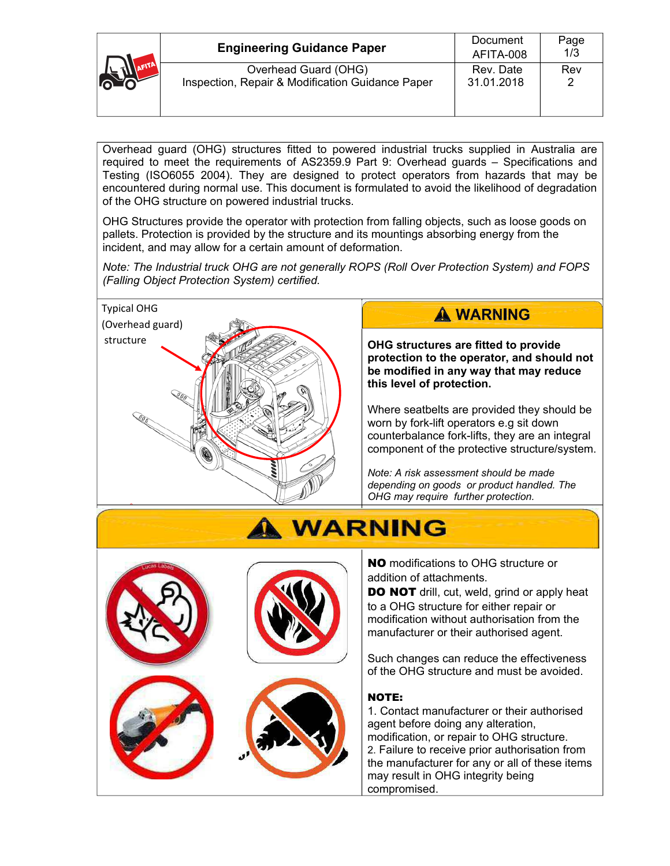|  | <b>Engineering Guidance Paper</b>                                        | Document<br>AFITA-008   | Page<br>1/3 |
|--|--------------------------------------------------------------------------|-------------------------|-------------|
|  | Overhead Guard (OHG)<br>Inspection, Repair & Modification Guidance Paper | Rev. Date<br>31.01.2018 | Rev         |

Overhead guard (OHG) structures fitted to powered industrial trucks supplied in Australia are required to meet the requirements of AS2359.9 Part 9: Overhead guards - Specifications and Testing (ISO6055 2004). They are designed to protect operators from hazards that may be encountered during normal use. This document is formulated to avoid the likelihood of degradation of the OHG structure on powered industrial trucks.

OHG Structures provide the operator with protection from falling objects, such as loose goods on pallets. Protection is provided by the structure and its mountings absorbing energy from the incident, and may allow for a certain amount of deformation.

*Note: The Industrial truck OHG are not generally ROPS (Roll Over Protection System) and FOPS (Falling Object Protection System) certified.* 



# A WARNING

**OHG structures are fitted to provide protection to the operator, and should not be modified in any way that may reduce this level of protection.**

Where seatbelts are provided they should be worn by fork-lift operators e.g sit down counterbalance fork-lifts, they are an integral component of the protective structure/system.

*Note: A risk assessment should be made depending on goods or product handled. The OHG may require further protection.* 



# **WARNING**

NO modifications to OHG structure or addition of attachments.

DO NOT drill, cut, weld, grind or apply heat to a OHG structure for either repair or modification without authorisation from the manufacturer or their authorised agent.

Such changes can reduce the effectiveness of the OHG structure and must be avoided.

# NOTE:

1. Contact manufacturer or their authorised agent before doing any alteration, modification, or repair to OHG structure. 2. Failure to receive prior authorisation from the manufacturer for any or all of these items may result in OHG integrity being compromised.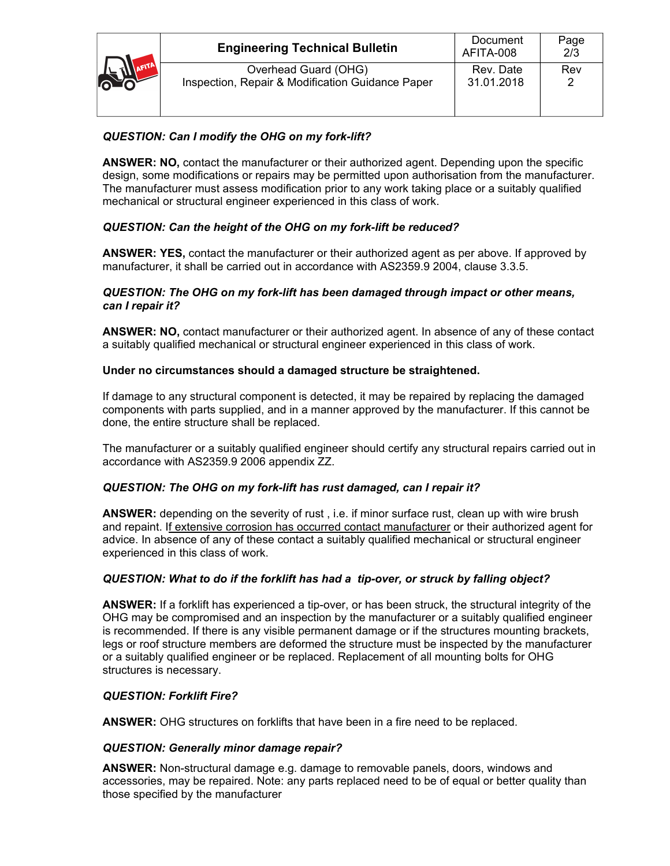| <b>OLD AFTE</b> | <b>Engineering Technical Bulletin</b>                                    | Document<br>AFITA-008   | Page<br>2/3 |
|-----------------|--------------------------------------------------------------------------|-------------------------|-------------|
|                 | Overhead Guard (OHG)<br>Inspection, Repair & Modification Guidance Paper | Rev. Date<br>31.01.2018 | Rev         |

# *QUESTION: Can I modify the OHG on my fork-lift?*

**ANSWER: NO,** contact the manufacturer or their authorized agent. Depending upon the specific design, some modifications or repairs may be permitted upon authorisation from the manufacturer. The manufacturer must assess modification prior to any work taking place or a suitably qualified mechanical or structural engineer experienced in this class of work.

# *QUESTION: Can the height of the OHG on my fork-lift be reduced?*

**ANSWER: YES,** contact the manufacturer or their authorized agent as per above. If approved by manufacturer, it shall be carried out in accordance with AS2359.9 2004, clause 3.3.5.

#### *QUESTION: The OHG on my fork-lift has been damaged through impact or other means, can I repair it?*

**ANSWER: NO,** contact manufacturer or their authorized agent. In absence of any of these contact a suitably qualified mechanical or structural engineer experienced in this class of work.

### **Under no circumstances should a damaged structure be straightened.**

If damage to any structural component is detected, it may be repaired by replacing the damaged components with parts supplied, and in a manner approved by the manufacturer. If this cannot be done, the entire structure shall be replaced.

The manufacturer or a suitably qualified engineer should certify any structural repairs carried out in accordance with AS2359.9 2006 appendix ZZ.

# *QUESTION: The OHG on my fork-lift has rust damaged, can I repair it?*

**ANSWER:** depending on the severity of rust , i.e. if minor surface rust, clean up with wire brush and repaint. If extensive corrosion has occurred contact manufacturer or their authorized agent for advice. In absence of any of these contact a suitably qualified mechanical or structural engineer experienced in this class of work.

#### *QUESTION: What to do if the forklift has had a tip-over, or struck by falling object?*

**ANSWER:** If a forklift has experienced a tip-over, or has been struck, the structural integrity of the OHG may be compromised and an inspection by the manufacturer or a suitably qualified engineer is recommended. If there is any visible permanent damage or if the structures mounting brackets, legs or roof structure members are deformed the structure must be inspected by the manufacturer or a suitably qualified engineer or be replaced. Replacement of all mounting bolts for OHG structures is necessary.

#### *QUESTION: Forklift Fire?*

**ANSWER:** OHG structures on forklifts that have been in a fire need to be replaced.

#### *QUESTION: Generally minor damage repair?*

**ANSWER:** Non-structural damage e.g. damage to removable panels, doors, windows and accessories, may be repaired. Note: any parts replaced need to be of equal or better quality than those specified by the manufacturer